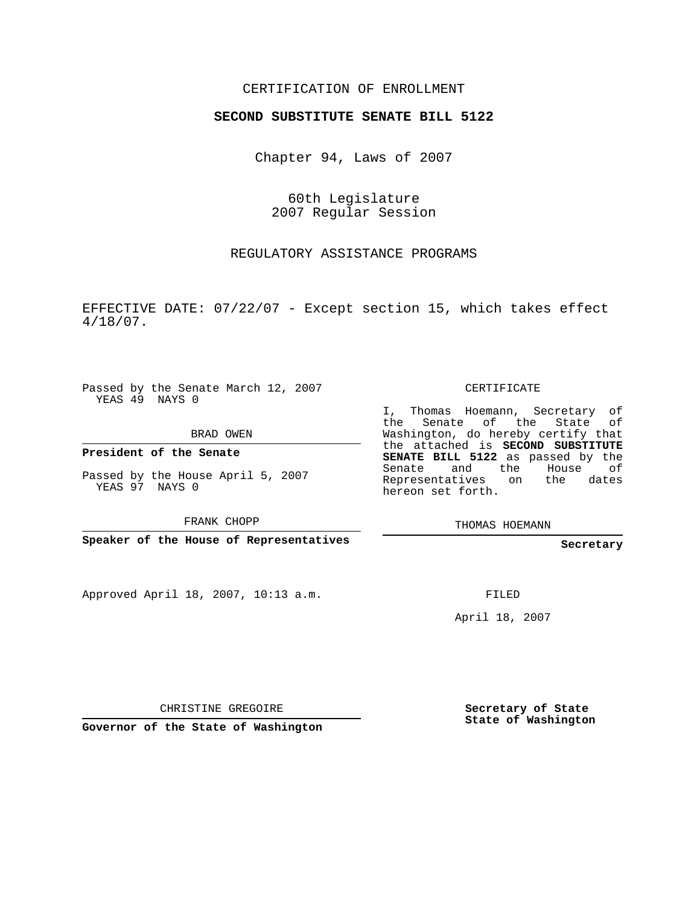## CERTIFICATION OF ENROLLMENT

## **SECOND SUBSTITUTE SENATE BILL 5122**

Chapter 94, Laws of 2007

60th Legislature 2007 Regular Session

REGULATORY ASSISTANCE PROGRAMS

EFFECTIVE DATE: 07/22/07 - Except section 15, which takes effect 4/18/07.

Passed by the Senate March 12, 2007 YEAS 49 NAYS 0

BRAD OWEN

**President of the Senate**

Passed by the House April 5, 2007 YEAS 97 NAYS 0

FRANK CHOPP

**Speaker of the House of Representatives**

Approved April 18, 2007, 10:13 a.m.

CERTIFICATE

I, Thomas Hoemann, Secretary of the Senate of the State of Washington, do hereby certify that the attached is **SECOND SUBSTITUTE SENATE BILL 5122** as passed by the Senate and the House of Representatives on the dates hereon set forth.

THOMAS HOEMANN

**Secretary**

FILED

April 18, 2007

CHRISTINE GREGOIRE

**Governor of the State of Washington**

**Secretary of State State of Washington**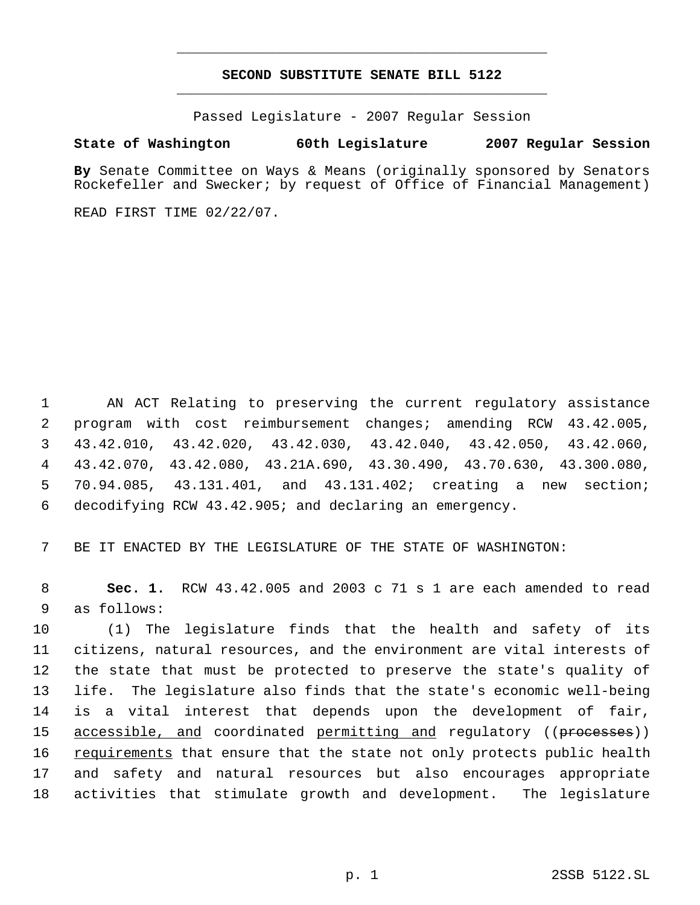## **SECOND SUBSTITUTE SENATE BILL 5122** \_\_\_\_\_\_\_\_\_\_\_\_\_\_\_\_\_\_\_\_\_\_\_\_\_\_\_\_\_\_\_\_\_\_\_\_\_\_\_\_\_\_\_\_\_

\_\_\_\_\_\_\_\_\_\_\_\_\_\_\_\_\_\_\_\_\_\_\_\_\_\_\_\_\_\_\_\_\_\_\_\_\_\_\_\_\_\_\_\_\_

Passed Legislature - 2007 Regular Session

## **State of Washington 60th Legislature 2007 Regular Session**

**By** Senate Committee on Ways & Means (originally sponsored by Senators Rockefeller and Swecker; by request of Office of Financial Management)

READ FIRST TIME 02/22/07.

 AN ACT Relating to preserving the current regulatory assistance program with cost reimbursement changes; amending RCW 43.42.005, 43.42.010, 43.42.020, 43.42.030, 43.42.040, 43.42.050, 43.42.060, 43.42.070, 43.42.080, 43.21A.690, 43.30.490, 43.70.630, 43.300.080, 70.94.085, 43.131.401, and 43.131.402; creating a new section; decodifying RCW 43.42.905; and declaring an emergency.

7 BE IT ENACTED BY THE LEGISLATURE OF THE STATE OF WASHINGTON:

 8 **Sec. 1.** RCW 43.42.005 and 2003 c 71 s 1 are each amended to read 9 as follows:

 (1) The legislature finds that the health and safety of its citizens, natural resources, and the environment are vital interests of the state that must be protected to preserve the state's quality of life. The legislature also finds that the state's economic well-being is a vital interest that depends upon the development of fair, 15 <u>accessible, and</u> coordinated permitting and regulatory ((processes)) 16 requirements that ensure that the state not only protects public health and safety and natural resources but also encourages appropriate activities that stimulate growth and development. The legislature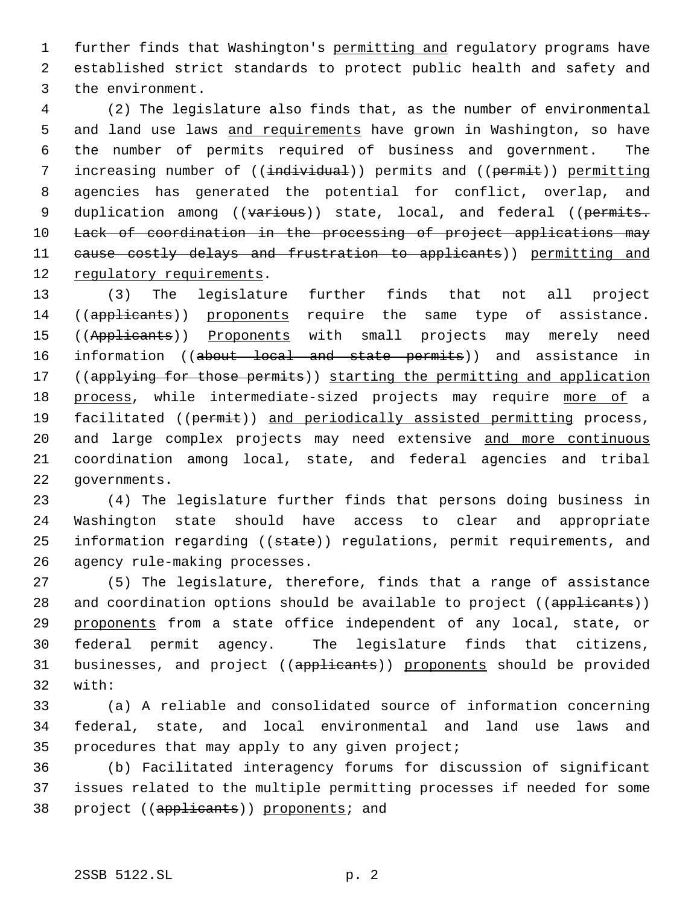1 further finds that Washington's permitting and regulatory programs have 2 established strict standards to protect public health and safety and 3 the environment.

 4 (2) The legislature also finds that, as the number of environmental 5 and land use laws and requirements have grown in Washington, so have 6 the number of permits required of business and government. The 7 increasing number of ((individual)) permits and ((permit)) permitting 8 agencies has generated the potential for conflict, overlap, and 9 duplication among ((various)) state, local, and federal ((permits. 10 Lack of coordination in the processing of project applications may 11 cause costly delays and frustration to applicants)) permitting and 12 regulatory requirements.

13 (3) The legislature further finds that not all project 14 ((applicants)) proponents require the same type of assistance. 15 ((Applicants)) Proponents with small projects may merely need 16 information ((about local and state permits)) and assistance in 17 ((applying for those permits)) starting the permitting and application 18 process, while intermediate-sized projects may require more of a 19 facilitated ((permit)) and periodically assisted permitting process, 20 and large complex projects may need extensive and more continuous 21 coordination among local, state, and federal agencies and tribal 22 governments.

 (4) The legislature further finds that persons doing business in Washington state should have access to clear and appropriate 25 information regarding ((state)) regulations, permit requirements, and agency rule-making processes.

27 (5) The legislature, therefore, finds that a range of assistance 28 and coordination options should be available to project ((applicants)) 29 proponents from a state office independent of any local, state, or 30 federal permit agency. The legislature finds that citizens, 31 businesses, and project ((applicants)) proponents should be provided 32 with:

33 (a) A reliable and consolidated source of information concerning 34 federal, state, and local environmental and land use laws and 35 procedures that may apply to any given project;

36 (b) Facilitated interagency forums for discussion of significant 37 issues related to the multiple permitting processes if needed for some 38 project ((applicants)) proponents; and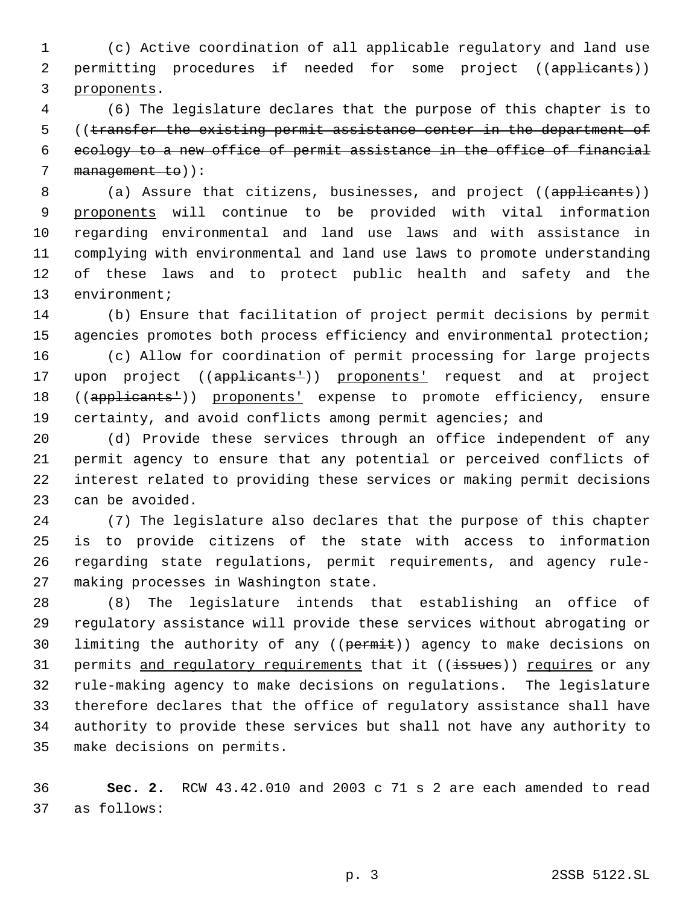(c) Active coordination of all applicable regulatory and land use 2 permitting procedures if needed for some project ((applicants)) proponents.

 (6) The legislature declares that the purpose of this chapter is to 5 ((transfer the existing permit assistance center in the department of ecology to a new office of permit assistance in the office of financial 7 management to)):

8 (a) Assure that citizens, businesses, and project ((applicants)) proponents will continue to be provided with vital information regarding environmental and land use laws and with assistance in complying with environmental and land use laws to promote understanding of these laws and to protect public health and safety and the environment;

 (b) Ensure that facilitation of project permit decisions by permit agencies promotes both process efficiency and environmental protection;

 (c) Allow for coordination of permit processing for large projects 17 upon project ((applicants<sup>1</sup>)) proponents' request and at project 18 ((applicants<sup>1</sup>)) proponents' expense to promote efficiency, ensure certainty, and avoid conflicts among permit agencies; and

 (d) Provide these services through an office independent of any permit agency to ensure that any potential or perceived conflicts of interest related to providing these services or making permit decisions can be avoided.

 (7) The legislature also declares that the purpose of this chapter is to provide citizens of the state with access to information regarding state regulations, permit requirements, and agency rule-making processes in Washington state.

 (8) The legislature intends that establishing an office of regulatory assistance will provide these services without abrogating or 30 limiting the authority of any ((permit)) agency to make decisions on 31 permits and regulatory requirements that it ((issues)) requires or any rule-making agency to make decisions on regulations. The legislature therefore declares that the office of regulatory assistance shall have authority to provide these services but shall not have any authority to make decisions on permits.

 **Sec. 2.** RCW 43.42.010 and 2003 c 71 s 2 are each amended to read as follows: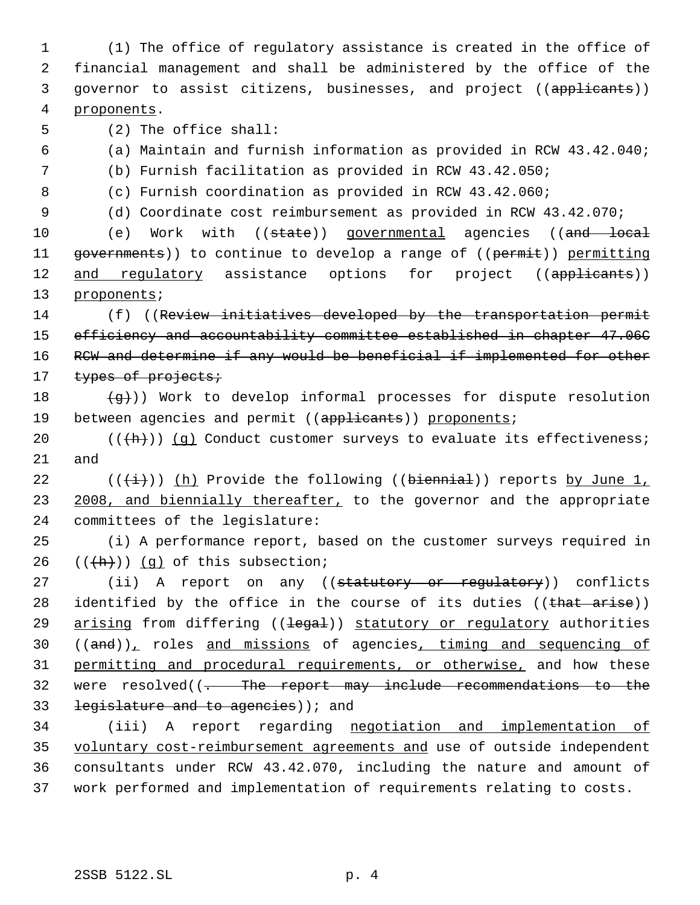(1) The office of regulatory assistance is created in the office of financial management and shall be administered by the office of the 3 governor to assist citizens, businesses, and project ((applicants)) proponents.

5 (2) The office shall:

- 6 (a) Maintain and furnish information as provided in RCW 43.42.040;
- 7 (b) Furnish facilitation as provided in RCW 43.42.050;
- 
- 8 (c) Furnish coordination as provided in RCW 43.42.060;
- 9 (d) Coordinate cost reimbursement as provided in RCW 43.42.070;

10 (e) Work with ((state)) governmental agencies ((and local 11 governments)) to continue to develop a range of ((permit)) permitting 12 and regulatory assistance options for project ((applicants)) 13 proponents;

14 (f) ((Review initiatives developed by the transportation permit 15 efficiency and accountability committee established in chapter 47.06C 16 RCW and determine if any would be beneficial if implemented for other 17 types of projects;

18  $\left(\frac{q}{q}\right)$ ) Work to develop informal processes for dispute resolution 19 between agencies and permit ((applicants)) proponents;

20  $((+h))$   $(g)$  Conduct customer surveys to evaluate its effectiveness; 21 and

22 ( $(\frac{+}{+})$ ) (h) Provide the following ((biennial)) reports by June 1, 23 2008, and biennially thereafter, to the governor and the appropriate 24 committees of the legislature:

25 (i) A performance report, based on the customer surveys required in  $26$   $((\frac{h}{h}))$   $(q)$  of this subsection;

27 (ii) A report on any ((statutory or regulatory)) conflicts 28 identified by the office in the course of its duties ((that arise)) 29 arising from differing ((legal)) statutory or regulatory authorities  $30$  ((and)), roles and missions of agencies, timing and sequencing of 31 permitting and procedural requirements, or otherwise, and how these 32 were resolved((<del>. The report may include recommendations to the</del> 33 legislature and to agencies) i and

 (iii) A report regarding negotiation and implementation of voluntary cost-reimbursement agreements and use of outside independent consultants under RCW 43.42.070, including the nature and amount of work performed and implementation of requirements relating to costs.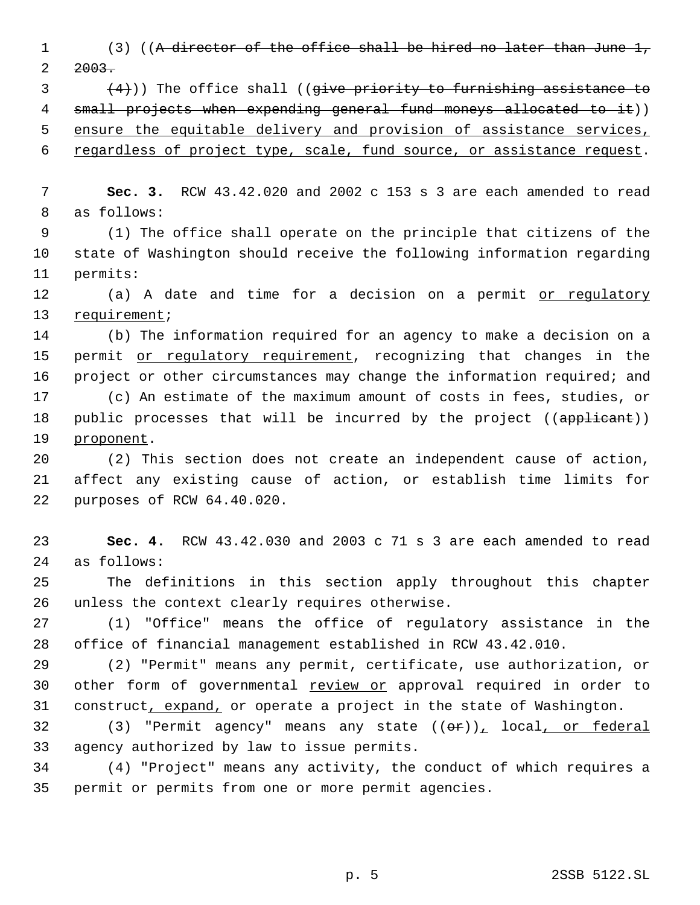1 (3) ((A director of the office shall be hired no later than June 1,  $2 \quad 2003.$ 

 $(4)$ )) The office shall ((give priority to furnishing assistance to 4 small projects when expending general fund moneys allocated to it)) ensure the equitable delivery and provision of assistance services,

regardless of project type, scale, fund source, or assistance request.

 **Sec. 3.** RCW 43.42.020 and 2002 c 153 s 3 are each amended to read as follows:

 (1) The office shall operate on the principle that citizens of the state of Washington should receive the following information regarding permits:

12 (a) A date and time for a decision on a permit or requlatory requirement;

 (b) The information required for an agency to make a decision on a 15 permit or regulatory requirement, recognizing that changes in the 16 project or other circumstances may change the information required; and (c) An estimate of the maximum amount of costs in fees, studies, or 18 public processes that will be incurred by the project ((applicant)) 19 proponent.

 (2) This section does not create an independent cause of action, affect any existing cause of action, or establish time limits for purposes of RCW 64.40.020.

 **Sec. 4.** RCW 43.42.030 and 2003 c 71 s 3 are each amended to read as follows:

 The definitions in this section apply throughout this chapter unless the context clearly requires otherwise.

 (1) "Office" means the office of regulatory assistance in the office of financial management established in RCW 43.42.010.

 (2) "Permit" means any permit, certificate, use authorization, or 30 other form of governmental review or approval required in order to 31 construct, expand, or operate a project in the state of Washington.

32 (3) "Permit agency" means any state  $((\theta \cdot \mathbf{r}))$ , local, or federal agency authorized by law to issue permits.

 (4) "Project" means any activity, the conduct of which requires a permit or permits from one or more permit agencies.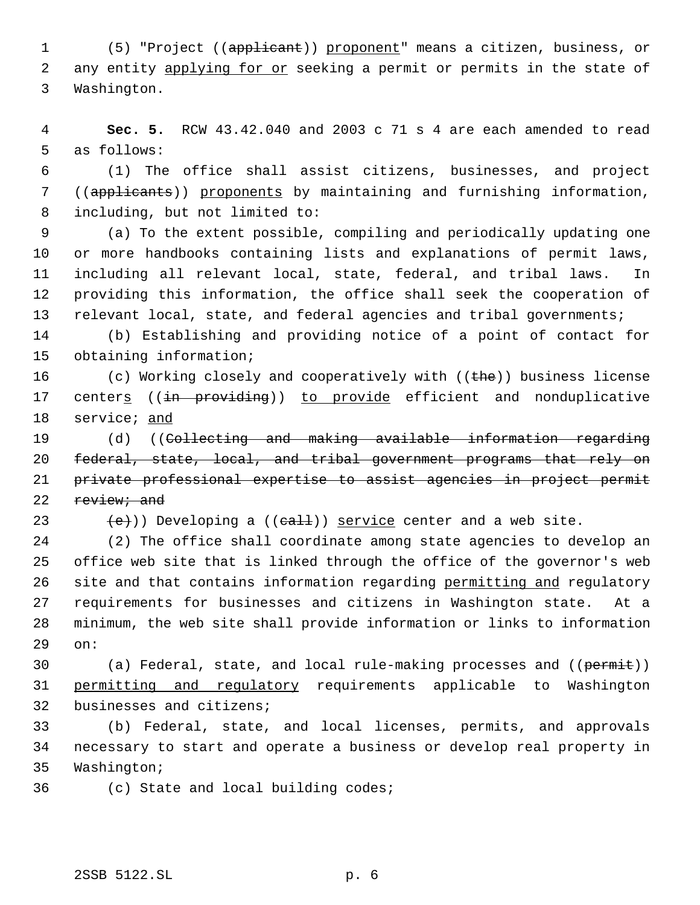1 (5) "Project ((applicant)) proponent" means a citizen, business, or 2 any entity applying for or seeking a permit or permits in the state of Washington.

 **Sec. 5.** RCW 43.42.040 and 2003 c 71 s 4 are each amended to read as follows:

 (1) The office shall assist citizens, businesses, and project ((applicants)) proponents by maintaining and furnishing information, including, but not limited to:

 (a) To the extent possible, compiling and periodically updating one or more handbooks containing lists and explanations of permit laws, including all relevant local, state, federal, and tribal laws. In providing this information, the office shall seek the cooperation of relevant local, state, and federal agencies and tribal governments;

 (b) Establishing and providing notice of a point of contact for obtaining information;

16 (c) Working closely and cooperatively with  $((the)$ ) business license 17 centers ((in providing)) to provide efficient and nonduplicative service; and

19 (d) ((Collecting and making available information regarding federal, state, local, and tribal government programs that rely on private professional expertise to assist agencies in project permit 22 review; and

23  $\text{(+e)}$ )) Developing a (( $\text{eall}$ )) service center and a web site.

 (2) The office shall coordinate among state agencies to develop an office web site that is linked through the office of the governor's web 26 site and that contains information regarding permitting and regulatory requirements for businesses and citizens in Washington state. At a minimum, the web site shall provide information or links to information on:

30 (a) Federal, state, and local rule-making processes and ((permit)) permitting and regulatory requirements applicable to Washington businesses and citizens;

 (b) Federal, state, and local licenses, permits, and approvals necessary to start and operate a business or develop real property in Washington;

(c) State and local building codes;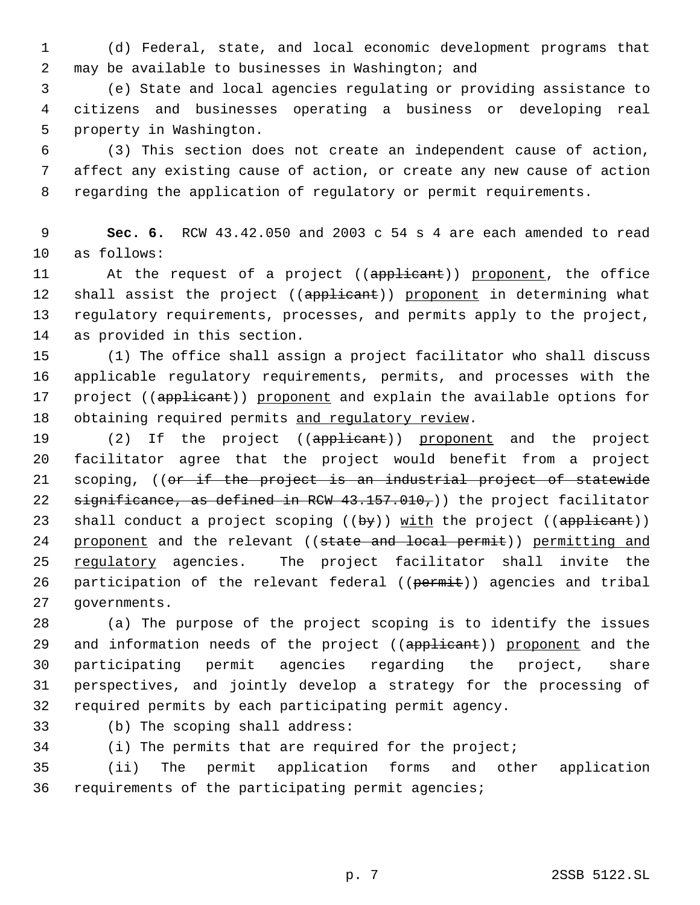(d) Federal, state, and local economic development programs that may be available to businesses in Washington; and

 (e) State and local agencies regulating or providing assistance to citizens and businesses operating a business or developing real property in Washington.

 (3) This section does not create an independent cause of action, affect any existing cause of action, or create any new cause of action regarding the application of regulatory or permit requirements.

 **Sec. 6.** RCW 43.42.050 and 2003 c 54 s 4 are each amended to read as follows:

11 At the request of a project ((applicant)) proponent, the office 12 shall assist the project ((applicant)) proponent in determining what regulatory requirements, processes, and permits apply to the project, as provided in this section.

 (1) The office shall assign a project facilitator who shall discuss applicable regulatory requirements, permits, and processes with the 17 project ((applicant)) proponent and explain the available options for 18 obtaining required permits and regulatory review.

19 (2) If the project ((applicant)) proponent and the project facilitator agree that the project would benefit from a project 21 scoping, ((or if the project is an industrial project of statewide 22 significance, as defined in RCW  $43.157.010$ ,) the project facilitator 23 shall conduct a project scoping  $((by))$  with the project  $((applitude))$ 24 proponent and the relevant ((state and local permit)) permitting and 25 regulatory agencies. The project facilitator shall invite the 26 participation of the relevant federal ((permit)) agencies and tribal governments.

 (a) The purpose of the project scoping is to identify the issues 29 and information needs of the project ((applicant)) proponent and the participating permit agencies regarding the project, share perspectives, and jointly develop a strategy for the processing of required permits by each participating permit agency.

(b) The scoping shall address:

(i) The permits that are required for the project;

 (ii) The permit application forms and other application requirements of the participating permit agencies;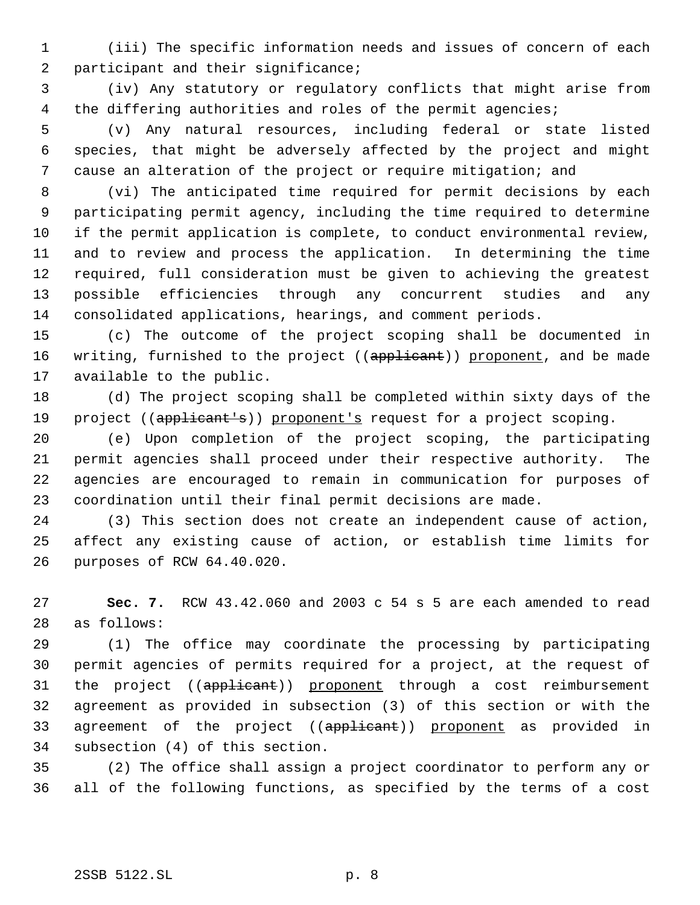(iii) The specific information needs and issues of concern of each 2 participant and their significance;

 (iv) Any statutory or regulatory conflicts that might arise from the differing authorities and roles of the permit agencies;

 (v) Any natural resources, including federal or state listed species, that might be adversely affected by the project and might cause an alteration of the project or require mitigation; and

 (vi) The anticipated time required for permit decisions by each participating permit agency, including the time required to determine if the permit application is complete, to conduct environmental review, and to review and process the application. In determining the time required, full consideration must be given to achieving the greatest possible efficiencies through any concurrent studies and any consolidated applications, hearings, and comment periods.

 (c) The outcome of the project scoping shall be documented in 16 writing, furnished to the project ((applicant)) proponent, and be made available to the public.

 (d) The project scoping shall be completed within sixty days of the 19 project ((applicant's)) proponent's request for a project scoping.

 (e) Upon completion of the project scoping, the participating permit agencies shall proceed under their respective authority. The agencies are encouraged to remain in communication for purposes of coordination until their final permit decisions are made.

 (3) This section does not create an independent cause of action, affect any existing cause of action, or establish time limits for purposes of RCW 64.40.020.

 **Sec. 7.** RCW 43.42.060 and 2003 c 54 s 5 are each amended to read as follows:

 (1) The office may coordinate the processing by participating permit agencies of permits required for a project, at the request of 31 the project ((applicant)) proponent through a cost reimbursement agreement as provided in subsection (3) of this section or with the 33 agreement of the project ((applicant)) proponent as provided in subsection (4) of this section.

 (2) The office shall assign a project coordinator to perform any or all of the following functions, as specified by the terms of a cost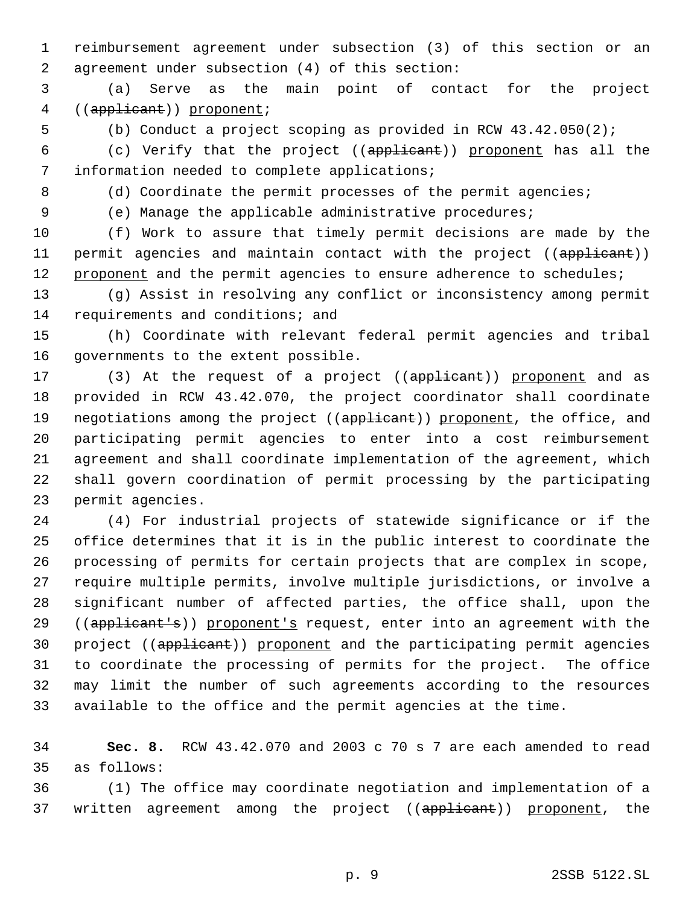reimbursement agreement under subsection (3) of this section or an agreement under subsection (4) of this section:

 (a) Serve as the main point of contact for the project 4 ((applicant)) proponent;

(b) Conduct a project scoping as provided in RCW 43.42.050(2);

 (c) Verify that the project ((applicant)) proponent has all the information needed to complete applications;

8 (d) Coordinate the permit processes of the permit agencies;

(e) Manage the applicable administrative procedures;

 (f) Work to assure that timely permit decisions are made by the 11 permit agencies and maintain contact with the project ((applicant)) 12 proponent and the permit agencies to ensure adherence to schedules;

 (g) Assist in resolving any conflict or inconsistency among permit requirements and conditions; and

 (h) Coordinate with relevant federal permit agencies and tribal governments to the extent possible.

17 (3) At the request of a project ((applicant)) proponent and as provided in RCW 43.42.070, the project coordinator shall coordinate 19 negotiations among the project ((applicant)) proponent, the office, and participating permit agencies to enter into a cost reimbursement agreement and shall coordinate implementation of the agreement, which shall govern coordination of permit processing by the participating permit agencies.

 (4) For industrial projects of statewide significance or if the office determines that it is in the public interest to coordinate the processing of permits for certain projects that are complex in scope, require multiple permits, involve multiple jurisdictions, or involve a significant number of affected parties, the office shall, upon the 29 ((applicant's)) proponent's request, enter into an agreement with the 30 project ((applicant)) proponent and the participating permit agencies to coordinate the processing of permits for the project. The office may limit the number of such agreements according to the resources available to the office and the permit agencies at the time.

 **Sec. 8.** RCW 43.42.070 and 2003 c 70 s 7 are each amended to read as follows:

 (1) The office may coordinate negotiation and implementation of a 37 written agreement among the project ((applicant)) proponent, the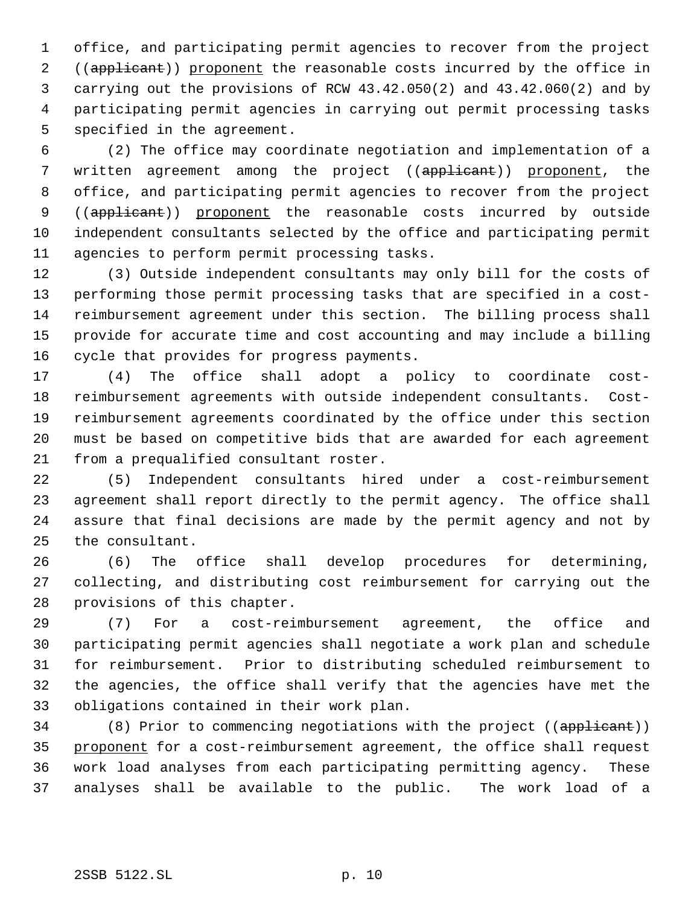office, and participating permit agencies to recover from the project 2 ((applicant)) proponent the reasonable costs incurred by the office in carrying out the provisions of RCW 43.42.050(2) and 43.42.060(2) and by participating permit agencies in carrying out permit processing tasks specified in the agreement.

 (2) The office may coordinate negotiation and implementation of a 7 written agreement among the project ((applicant)) proponent, the office, and participating permit agencies to recover from the project 9 ((applicant)) proponent the reasonable costs incurred by outside independent consultants selected by the office and participating permit agencies to perform permit processing tasks.

 (3) Outside independent consultants may only bill for the costs of performing those permit processing tasks that are specified in a cost- reimbursement agreement under this section. The billing process shall provide for accurate time and cost accounting and may include a billing cycle that provides for progress payments.

 (4) The office shall adopt a policy to coordinate cost- reimbursement agreements with outside independent consultants. Cost- reimbursement agreements coordinated by the office under this section must be based on competitive bids that are awarded for each agreement from a prequalified consultant roster.

 (5) Independent consultants hired under a cost-reimbursement agreement shall report directly to the permit agency. The office shall assure that final decisions are made by the permit agency and not by the consultant.

 (6) The office shall develop procedures for determining, collecting, and distributing cost reimbursement for carrying out the provisions of this chapter.

 (7) For a cost-reimbursement agreement, the office and participating permit agencies shall negotiate a work plan and schedule for reimbursement. Prior to distributing scheduled reimbursement to the agencies, the office shall verify that the agencies have met the obligations contained in their work plan.

34 (8) Prior to commencing negotiations with the project ((applicant)) 35 proponent for a cost-reimbursement agreement, the office shall request work load analyses from each participating permitting agency. These analyses shall be available to the public. The work load of a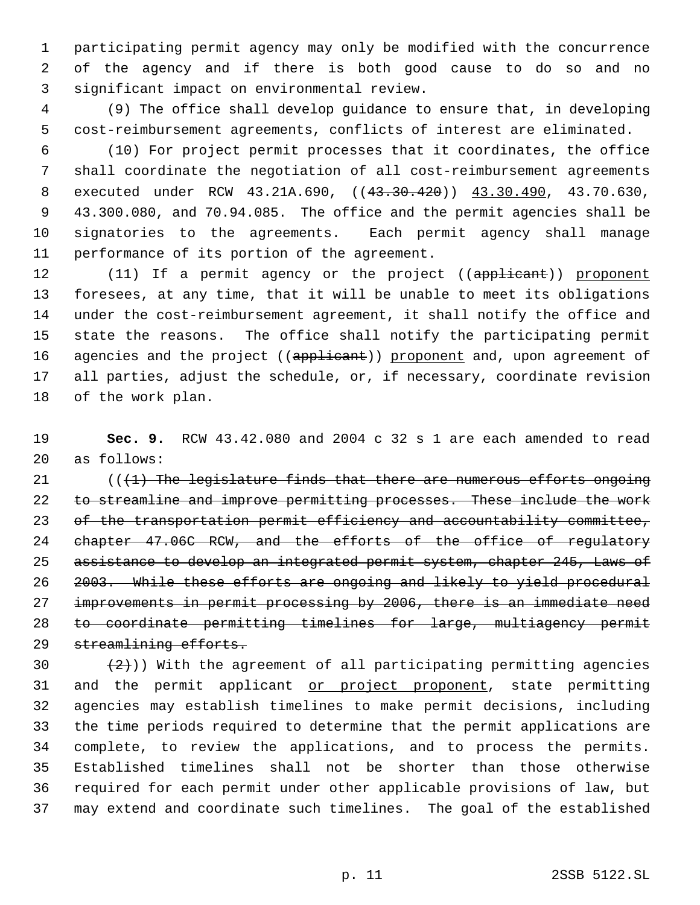participating permit agency may only be modified with the concurrence of the agency and if there is both good cause to do so and no significant impact on environmental review.

 (9) The office shall develop guidance to ensure that, in developing cost-reimbursement agreements, conflicts of interest are eliminated.

 (10) For project permit processes that it coordinates, the office shall coordinate the negotiation of all cost-reimbursement agreements 8 executed under RCW 43.21A.690, ((43.30.420)) 43.30.490, 43.70.630, 43.300.080, and 70.94.085. The office and the permit agencies shall be signatories to the agreements. Each permit agency shall manage performance of its portion of the agreement.

12 (11) If a permit agency or the project ((applicant)) proponent foresees, at any time, that it will be unable to meet its obligations under the cost-reimbursement agreement, it shall notify the office and state the reasons. The office shall notify the participating permit 16 agencies and the project ((applicant)) proponent and, upon agreement of all parties, adjust the schedule, or, if necessary, coordinate revision of the work plan.

 **Sec. 9.** RCW 43.42.080 and 2004 c 32 s 1 are each amended to read as follows:

 (( $\{1\}$ ) The legislature finds that there are numerous efforts ongoing 22 to streamline and improve permitting processes. These include the work of the transportation permit efficiency and accountability committee, chapter 47.06C RCW, and the efforts of the office of regulatory assistance to develop an integrated permit system, chapter 245, Laws of 2003. While these efforts are ongoing and likely to yield procedural improvements in permit processing by 2006, there is an immediate need to coordinate permitting timelines for large, multiagency permit 29 streamlining efforts.

 $(2)$ )) With the agreement of all participating permitting agencies 31 and the permit applicant or project proponent, state permitting agencies may establish timelines to make permit decisions, including the time periods required to determine that the permit applications are complete, to review the applications, and to process the permits. Established timelines shall not be shorter than those otherwise required for each permit under other applicable provisions of law, but may extend and coordinate such timelines. The goal of the established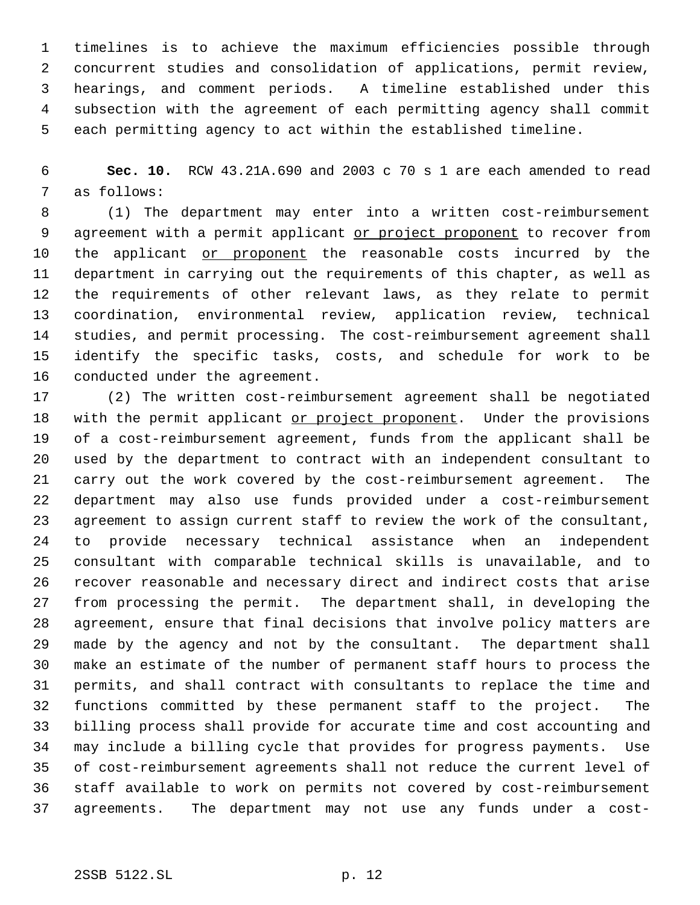timelines is to achieve the maximum efficiencies possible through concurrent studies and consolidation of applications, permit review, hearings, and comment periods. A timeline established under this subsection with the agreement of each permitting agency shall commit each permitting agency to act within the established timeline.

 **Sec. 10.** RCW 43.21A.690 and 2003 c 70 s 1 are each amended to read as follows:

 (1) The department may enter into a written cost-reimbursement 9 agreement with a permit applicant or project proponent to recover from 10 the applicant or proponent the reasonable costs incurred by the department in carrying out the requirements of this chapter, as well as the requirements of other relevant laws, as they relate to permit coordination, environmental review, application review, technical studies, and permit processing. The cost-reimbursement agreement shall identify the specific tasks, costs, and schedule for work to be conducted under the agreement.

 (2) The written cost-reimbursement agreement shall be negotiated 18 with the permit applicant or project proponent. Under the provisions of a cost-reimbursement agreement, funds from the applicant shall be used by the department to contract with an independent consultant to carry out the work covered by the cost-reimbursement agreement. The department may also use funds provided under a cost-reimbursement agreement to assign current staff to review the work of the consultant, to provide necessary technical assistance when an independent consultant with comparable technical skills is unavailable, and to recover reasonable and necessary direct and indirect costs that arise from processing the permit. The department shall, in developing the agreement, ensure that final decisions that involve policy matters are made by the agency and not by the consultant. The department shall make an estimate of the number of permanent staff hours to process the permits, and shall contract with consultants to replace the time and functions committed by these permanent staff to the project. The billing process shall provide for accurate time and cost accounting and may include a billing cycle that provides for progress payments. Use of cost-reimbursement agreements shall not reduce the current level of staff available to work on permits not covered by cost-reimbursement agreements. The department may not use any funds under a cost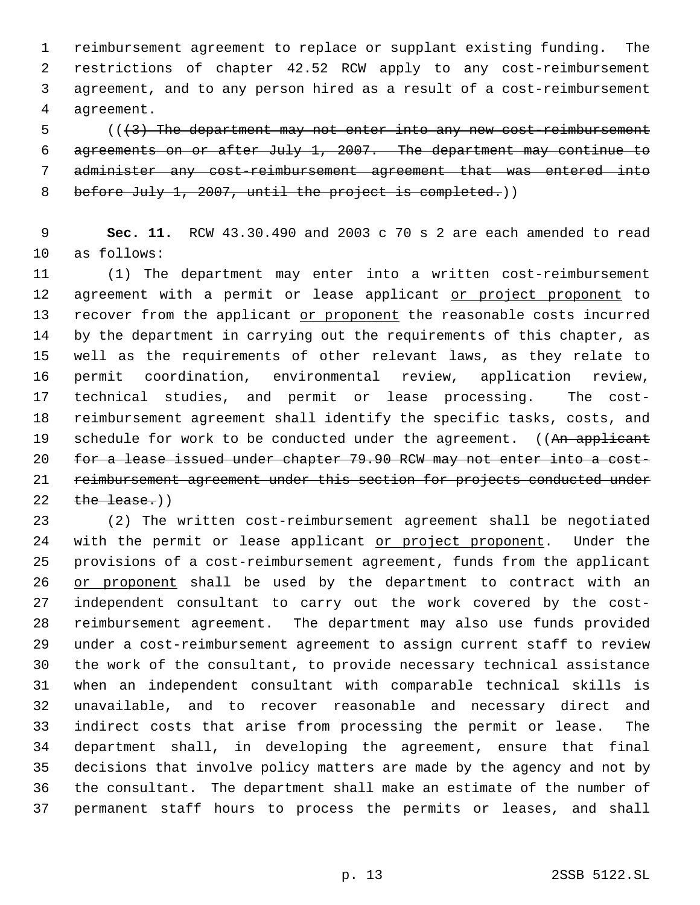reimbursement agreement to replace or supplant existing funding. The restrictions of chapter 42.52 RCW apply to any cost-reimbursement agreement, and to any person hired as a result of a cost-reimbursement agreement.

5 (( $\{3\}$ ) The department may not enter into any new cost-reimbursement agreements on or after July 1, 2007. The department may continue to administer any cost-reimbursement agreement that was entered into 8 before July 1, 2007, until the project is completed.))

 **Sec. 11.** RCW 43.30.490 and 2003 c 70 s 2 are each amended to read as follows:

 (1) The department may enter into a written cost-reimbursement 12 agreement with a permit or lease applicant or project proponent to recover from the applicant or proponent the reasonable costs incurred by the department in carrying out the requirements of this chapter, as well as the requirements of other relevant laws, as they relate to permit coordination, environmental review, application review, technical studies, and permit or lease processing. The cost- reimbursement agreement shall identify the specific tasks, costs, and 19 schedule for work to be conducted under the agreement. ((An applicant 20 for a lease issued under chapter 79.90 RCW may not enter into a cost- reimbursement agreement under this section for projects conducted under  $the$  lease.)

 (2) The written cost-reimbursement agreement shall be negotiated 24 with the permit or lease applicant or project proponent. Under the provisions of a cost-reimbursement agreement, funds from the applicant 26 or proponent shall be used by the department to contract with an independent consultant to carry out the work covered by the cost- reimbursement agreement. The department may also use funds provided under a cost-reimbursement agreement to assign current staff to review the work of the consultant, to provide necessary technical assistance when an independent consultant with comparable technical skills is unavailable, and to recover reasonable and necessary direct and indirect costs that arise from processing the permit or lease. The department shall, in developing the agreement, ensure that final decisions that involve policy matters are made by the agency and not by the consultant. The department shall make an estimate of the number of permanent staff hours to process the permits or leases, and shall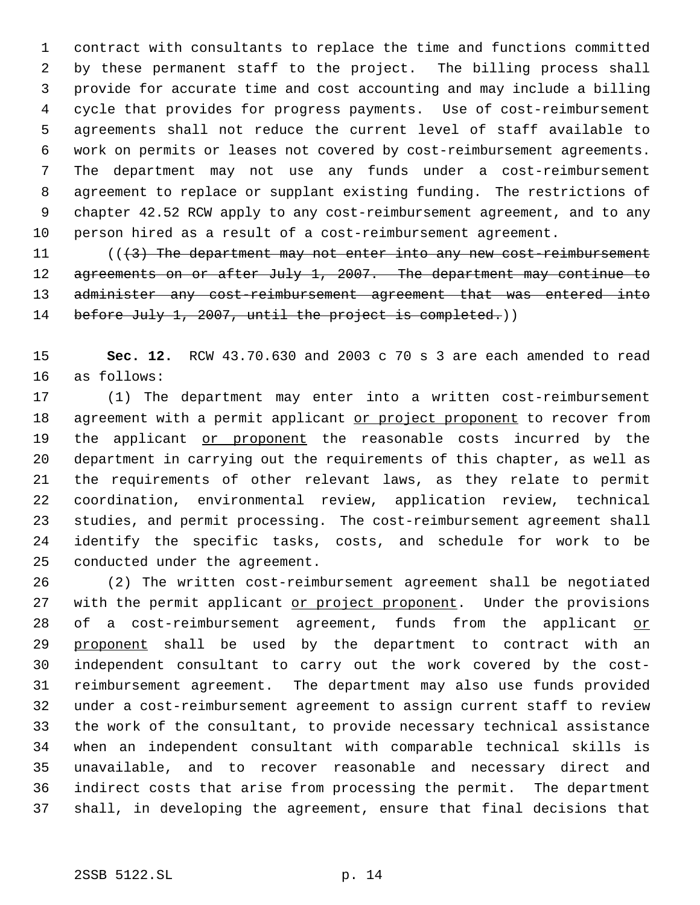contract with consultants to replace the time and functions committed by these permanent staff to the project. The billing process shall provide for accurate time and cost accounting and may include a billing cycle that provides for progress payments. Use of cost-reimbursement agreements shall not reduce the current level of staff available to work on permits or leases not covered by cost-reimbursement agreements. The department may not use any funds under a cost-reimbursement agreement to replace or supplant existing funding. The restrictions of chapter 42.52 RCW apply to any cost-reimbursement agreement, and to any person hired as a result of a cost-reimbursement agreement.

 $((3)$  The department may not enter into any new cost-reimbursement 12 agreements on or after July 1, 2007. The department may continue to 13 administer any cost-reimbursement agreement that was entered into 14 before July 1, 2007, until the project is completed.)

 **Sec. 12.** RCW 43.70.630 and 2003 c 70 s 3 are each amended to read as follows:

 (1) The department may enter into a written cost-reimbursement 18 agreement with a permit applicant or project proponent to recover from 19 the applicant or proponent the reasonable costs incurred by the department in carrying out the requirements of this chapter, as well as the requirements of other relevant laws, as they relate to permit coordination, environmental review, application review, technical studies, and permit processing. The cost-reimbursement agreement shall identify the specific tasks, costs, and schedule for work to be conducted under the agreement.

 (2) The written cost-reimbursement agreement shall be negotiated 27 with the permit applicant or project proponent. Under the provisions of a cost-reimbursement agreement, funds from the applicant or 29 proponent shall be used by the department to contract with an independent consultant to carry out the work covered by the cost- reimbursement agreement. The department may also use funds provided under a cost-reimbursement agreement to assign current staff to review the work of the consultant, to provide necessary technical assistance when an independent consultant with comparable technical skills is unavailable, and to recover reasonable and necessary direct and indirect costs that arise from processing the permit. The department shall, in developing the agreement, ensure that final decisions that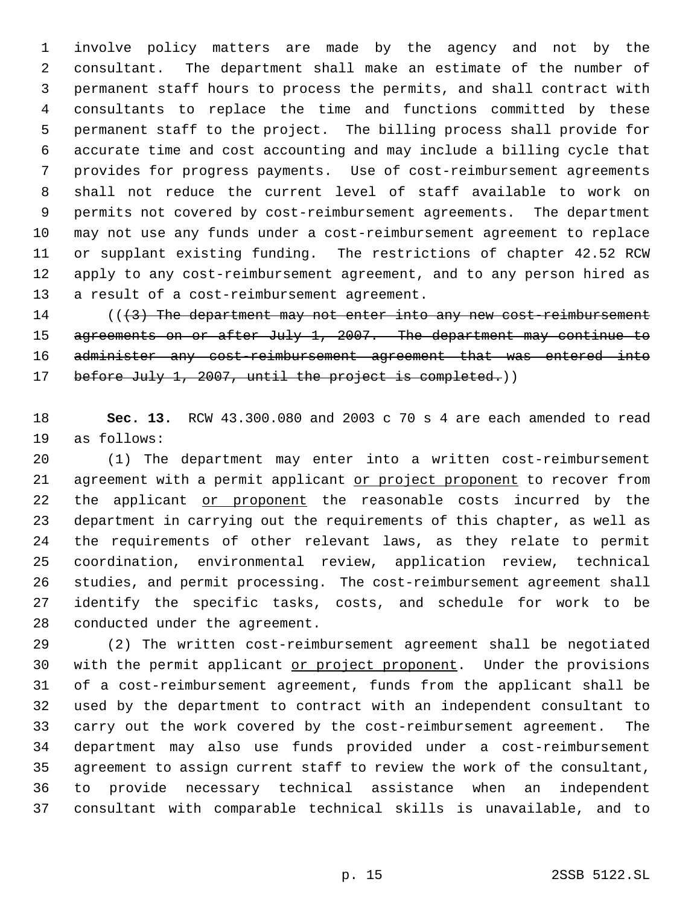involve policy matters are made by the agency and not by the consultant. The department shall make an estimate of the number of permanent staff hours to process the permits, and shall contract with consultants to replace the time and functions committed by these permanent staff to the project. The billing process shall provide for accurate time and cost accounting and may include a billing cycle that provides for progress payments. Use of cost-reimbursement agreements shall not reduce the current level of staff available to work on permits not covered by cost-reimbursement agreements. The department may not use any funds under a cost-reimbursement agreement to replace or supplant existing funding. The restrictions of chapter 42.52 RCW apply to any cost-reimbursement agreement, and to any person hired as a result of a cost-reimbursement agreement.

14 (((3) The department may not enter into any new cost-reimbursement agreements on or after July 1, 2007. The department may continue to 16 administer any cost-reimbursement agreement that was entered into 17 before July 1, 2007, until the project is completed.))

 **Sec. 13.** RCW 43.300.080 and 2003 c 70 s 4 are each amended to read as follows:

 (1) The department may enter into a written cost-reimbursement 21 agreement with a permit applicant or project proponent to recover from 22 the applicant or proponent the reasonable costs incurred by the department in carrying out the requirements of this chapter, as well as the requirements of other relevant laws, as they relate to permit coordination, environmental review, application review, technical studies, and permit processing. The cost-reimbursement agreement shall identify the specific tasks, costs, and schedule for work to be conducted under the agreement.

 (2) The written cost-reimbursement agreement shall be negotiated 30 with the permit applicant or project proponent. Under the provisions of a cost-reimbursement agreement, funds from the applicant shall be used by the department to contract with an independent consultant to carry out the work covered by the cost-reimbursement agreement. The department may also use funds provided under a cost-reimbursement agreement to assign current staff to review the work of the consultant, to provide necessary technical assistance when an independent consultant with comparable technical skills is unavailable, and to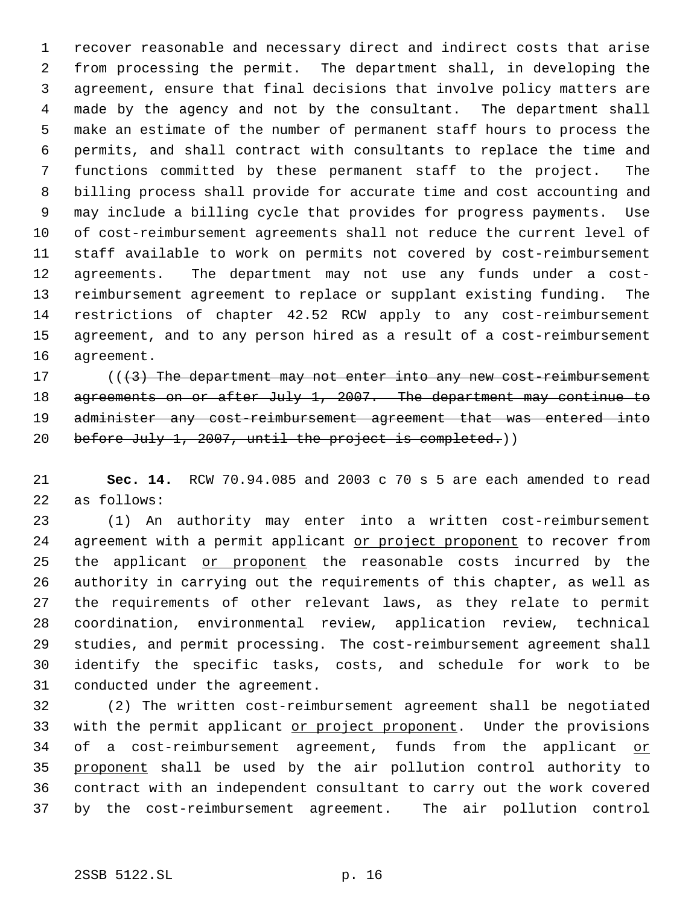recover reasonable and necessary direct and indirect costs that arise from processing the permit. The department shall, in developing the agreement, ensure that final decisions that involve policy matters are made by the agency and not by the consultant. The department shall make an estimate of the number of permanent staff hours to process the permits, and shall contract with consultants to replace the time and functions committed by these permanent staff to the project. The billing process shall provide for accurate time and cost accounting and may include a billing cycle that provides for progress payments. Use of cost-reimbursement agreements shall not reduce the current level of staff available to work on permits not covered by cost-reimbursement agreements. The department may not use any funds under a cost- reimbursement agreement to replace or supplant existing funding. The restrictions of chapter 42.52 RCW apply to any cost-reimbursement agreement, and to any person hired as a result of a cost-reimbursement agreement.

 $((3)$  The department may not enter into any new cost-reimbursement 18 agreements on or after July 1, 2007. The department may continue to 19 administer any cost-reimbursement agreement that was entered into 20 before July 1, 2007, until the project is completed.)

 **Sec. 14.** RCW 70.94.085 and 2003 c 70 s 5 are each amended to read as follows:

 (1) An authority may enter into a written cost-reimbursement 24 agreement with a permit applicant or project proponent to recover from 25 the applicant or proponent the reasonable costs incurred by the authority in carrying out the requirements of this chapter, as well as the requirements of other relevant laws, as they relate to permit coordination, environmental review, application review, technical studies, and permit processing. The cost-reimbursement agreement shall identify the specific tasks, costs, and schedule for work to be conducted under the agreement.

 (2) The written cost-reimbursement agreement shall be negotiated 33 with the permit applicant or project proponent. Under the provisions 34 of a cost-reimbursement agreement, funds from the applicant or proponent shall be used by the air pollution control authority to contract with an independent consultant to carry out the work covered by the cost-reimbursement agreement. The air pollution control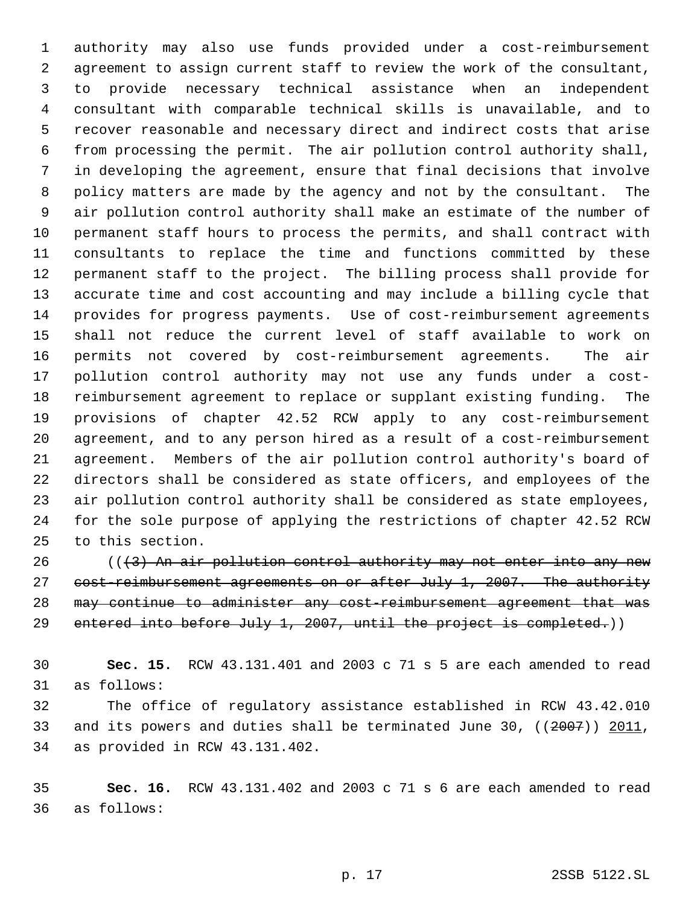authority may also use funds provided under a cost-reimbursement agreement to assign current staff to review the work of the consultant, to provide necessary technical assistance when an independent consultant with comparable technical skills is unavailable, and to recover reasonable and necessary direct and indirect costs that arise from processing the permit. The air pollution control authority shall, in developing the agreement, ensure that final decisions that involve policy matters are made by the agency and not by the consultant. The air pollution control authority shall make an estimate of the number of permanent staff hours to process the permits, and shall contract with consultants to replace the time and functions committed by these permanent staff to the project. The billing process shall provide for accurate time and cost accounting and may include a billing cycle that provides for progress payments. Use of cost-reimbursement agreements shall not reduce the current level of staff available to work on permits not covered by cost-reimbursement agreements. The air pollution control authority may not use any funds under a cost- reimbursement agreement to replace or supplant existing funding. The provisions of chapter 42.52 RCW apply to any cost-reimbursement agreement, and to any person hired as a result of a cost-reimbursement agreement. Members of the air pollution control authority's board of directors shall be considered as state officers, and employees of the air pollution control authority shall be considered as state employees, for the sole purpose of applying the restrictions of chapter 42.52 RCW to this section.

 (( $\left(3\right)$ ) An air pollution control authority may not enter into any new 27 cost-reimbursement agreements on or after July 1, 2007. The authority may continue to administer any cost-reimbursement agreement that was 29 entered into before July 1, 2007, until the project is completed.))

 **Sec. 15.** RCW 43.131.401 and 2003 c 71 s 5 are each amended to read as follows:

 The office of regulatory assistance established in RCW 43.42.010 33 and its powers and duties shall be terminated June 30, ((2007)) 2011, as provided in RCW 43.131.402.

 **Sec. 16.** RCW 43.131.402 and 2003 c 71 s 6 are each amended to read as follows: